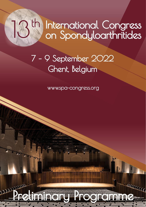# International Congress on Spondyloarthritides  $th$

# 7 – 9 September 2022 Ghent, Belgium

www.spa-congress.org

Predicipal Programme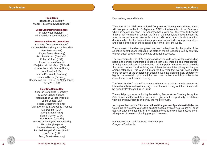#### **Presidents**

Francesco Ciccia (Italy) Walter P. Maksymowych (Canada)

#### Local Organising Committee

Dirk Elewaut (Belgium) Filip Van den Bosch (Belgium)

#### Honorary Scientific Committee

Eric Veys (Belgium – Founder) Herman Mielants (Belgium – Founder) Paul Bowness (uK) Jürgen Braun (Germany) Matthew Brown (Australia) Robert Colbert (USA) Robert Inman (Canada) Marjatta Leirisalo-Repo (Finland) Jose A. Lopez de Castro (Spain) John Reveille (USA) Martin Rudwaleit (Germany) Joachim Sieper (Germany) Désirée van der Heijde (The Netherlands) David Yu (USA)

#### Scientific Committee

Xenofon Baraliakos (Germany) Maxime Breban (France) Rubén Burgos Vargas (Mexico) Laura Coates (UK) Félicie Costantino (France) Maria-Antonietta D'Agostino (France) Atul Deodhar (USA) Joerg Ermann (USA) Lianne Gensler (USA) Nigil Haroon (Canada) Robert Landewé (The Netherlands) Rik Lories (Belgium) Helena Marzo-Ortega (UK) Percival Sampaio-Barros (Brazil) Jose Scher (USA) Georg Schett (Germany)

Dear colleagues and friends,

Welcome to the **13th International Congress on Spondyloarthritides**, which will take place on the  $7 - 9$  September 2022 in the beautiful city of Gent as a wholly in-person meeting. The congress has grown over the years to become the premier international event in the field of the Spondylarthritides. Indeed, the attendance has almost quadrupled since 1998 to include scientists, medical doctors, allied health professionals, pharmaceutical industry representatives and people affected by these conditions from all over the world.

The success of the Gent congress has been underpinned by the quality of the scientific contributions including the state-of-the-art lectures given by carefully chosen guest speakers and selected abstract presenters.

The programme for the 2022 congress will offer a wide range of topics including basic and clinical translational research, genetics, imaging and therapeutics. A highly regarded part of the meeting are the poster sessions which provide the perfect frame for stimulating and interactive multidisciplinary exchanges among attendees. This year will mark the first year that we will have poster tours for each of the sessions. In addition, we have planned lively debates on highly controversial topics in clinical and basic science which promise to be educational as well as entertaining.

The "Gent Oration" - aimed to honor a scientist or clinician who is recognized internationally as having made major contributions throughout their career - will be given by Professor Jürgen Braun.

The social programme including the Walking Dinner at the Opening Reception, Gala dinner and Farewell Drink are sure to give you the opportunity to catch up with old and new friends and enjoy the magic of Gent.

As co-presidents of the **13th International Congress on Spondyloarthritides** we would like to welcome you to this exciting occasion which we are sure will once again, provide the best platform for vibrant scientific and clinical discussions in all aspects of these fascinating group of diseases.

Francesco Ciccia and Walter P. Maksymowych Congress Presidents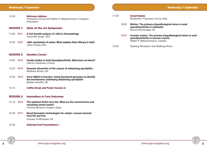#### Wednesday 7 September

12.50 Welcome Address Francesco Ciccia and Walter P. Maksymowych, Congress Presidents

#### SESSION 1: State-of-the-Art Symposium

- 13.00 INV1 A risk benefit analysis of JAKi in rheumatology Jasvinder Singh, USA
- 13.30 INV2 JAKi-mechanism of action: What explains their efficacy in SpA? John O'Shea, USA

#### SESSION 2: Genetics Corner

- 14.00 INV3 Family studies in Axial Spondyloarthritis: What have we learnt? Félicie Costantino, France
- 14.25 INV4 Genomic dissection of the causes of ankylosing spondylitis Matthew Brown, UK
- 14.50 INV5 From GWAS to function: Using functional genomics to identify the mechanisms underlying ankylosing spondylitis Matteo Vecellio, UK
- 15.10 Coffee Break and Poster Session A

#### SESSION 3: Innovations in Core Outcomes

- 16.10 INV6 The Updated ASAS Core Set: What are the controversies and remaining unmet needs? Victoria Navarro-Compan, Spain
- 16.30 INV7 Novel biomarker technologies for axSpA: Lessons learned from RA and PsA Hussein Al-Mossawi, UKS
- 16.50 Selected Oral Presentations I
- 17.50 Grand Debate Moderator: Francesco Ciccia, Italy INV8 Motion: The primary etiopathological lesion in axial
	- spondyloarthritis is enthesitis Dennis McGonagle, UK
	- INV9 Counter motion: The primary etiopathological lesion in axial spondyloarthritis is marrow-centric Walter P. Maksymowych, Canada
- 18.30 Opening Reception and Walking Dinner

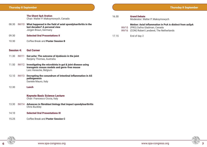|                            | <b>The Ghent SpA Oration</b><br>Chair: Walter P. Maksymowych, Canada                                                   | 16.30 | <b>Grand Debate</b><br>Moderator: Walter P. Maksymowych                                                                                             |
|----------------------------|------------------------------------------------------------------------------------------------------------------------|-------|-----------------------------------------------------------------------------------------------------------------------------------------------------|
| 08.30<br>INV <sub>10</sub> | What happened in the field of axial spondyloarthritis in the<br>last decades? A personal view<br>Jürgen Braun, Germany |       | <b>Motion: Axial inflammation in PsA is distinct from axSpA</b><br>INV15 (PRO) Dafna Gladman, Canada<br>INV16 (CON) Robert Landewé, The Netherlands |
| 09.30                      | <b>Selected Oral Presentations II</b>                                                                                  | 17.15 | End of day 2                                                                                                                                        |
| 10.30                      | Coffee Break and Poster Session B                                                                                      |       |                                                                                                                                                     |
| <b>Session 4:</b>          | <b>Gut Corner</b>                                                                                                      |       |                                                                                                                                                     |
| 11.30<br>INV <sub>11</sub> | Gut ache: The outcome of dysbiosis in the joint<br>Ranjeny Thomas, Australia                                           |       |                                                                                                                                                     |

- 11.50 INV12 Investigating the microbiota in gut & joint disease using transgenic mouse models and germ-free mouse Lars Vereecke, Belgium
- 12.10 INV13 Decrypting the conundrum of intestinal inflammation in AS pathogenesis Daniele Mauro, Italy
- 12.30 Lunch

#### Keynote Basic Science Lecture

Chair: Francesco Ciccia, Italy

- 13.30 INV14 Advances in fibroblast biology that impact spondyloarthritis Chris Buckley
- 14.10 **Selected Oral Presentations III**
- 15.25 Coffee Break and Poster Session C

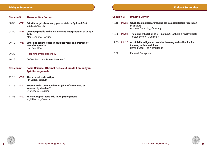#### Friday 9 September

### Session 5: Therapeutics Corner 08.30 INV17 Priority targets from early phase trials in SpA and PsA Iain McInnes, UK 08.50 INV18 Common pitfalls in the analysis and interpretation of axSpA RCTs Alex Sepriano, Portugal 09.10 INV19 Emerging technologies in drug delivery: The promise of nanotherapeutics Hua Pan, USA 09.30 Flash Oral Presentations IV 10.15 Coffee Break and **Poster Session D** Session 6: Basic Science: Stromal Cells and Innate Immunity in

## SpA Pathogenesis

- 11.15 INV20 The stromal code in SpA Rik Lories, Belgium
- 11.35 INV21 Stromal cells: Commanders of joint inflammation, or innocent bystanders? Eric Gracey, Belgium
- 11.55 INV22 MIF-neutrophil-bone axis in AS pathogenesis Nigil Haroon, Canada

#### Session 7: Imaging Corner

- 12.15 INV23 What does molecular imaging tell us about tissue reparation in axSpA? Andreas Ramming, Germany
- 12.35 INV24 Trials and tribulation of CT in axSpA: Is there a final verdict? Torsten Diekhoff, Germany
- 12.55 INV25 Artificial intelligence, machine learning and radiomics for imaging in rheumatology Berend Stoel, The Netherlands
- 13.30 Farewell Reception

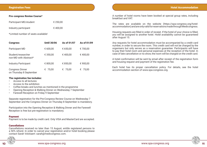#### Pre-congress Review Course\*

| Participant MD/student | € 250.00 |
|------------------------|----------|
| Industry participant   | € 400.00 |

\*Limited number of seats available!

| <b>Congress</b>                                   | <b>Until 30/06</b> | As of 01/07 | As of 01/09 |
|---------------------------------------------------|--------------------|-------------|-------------|
| Participant MD                                    | € 600,00           | € 650,00    | € 700,00    |
| Student/researcher<br>non-MD with Abstract*       | € 350,00           | €400,00     | €400,00     |
| <b>Industry Participant</b>                       | € 800,00           | € 850,00    | € 900,00    |
| <b>Congress Dinner</b><br>on Thursday 8 September | € 75,00            | € 75,00     | € 75,00     |

#### The registration fee includes:

- Access to all lectures
- Access to the exhibition
- Coffee breaks and lunches as mentioned in the programme
- Opening Reception & Walking Dinner on Wednesday 7 September
- Farewell Reception on Friday 9 September

Separate registration for the Pre-Congress Review Course on Wednesday 7 September and the Congress Dinner on Thursday 8 September is mandatory.

Participation into the Opening Reception & Walking Dinner and the Farewell Reception is free but pre-registration is mandatory.

#### Payment

Payment is to be made by credit card. Only VISA and MasterCard are accepted.

#### **Cancellations**

Cancellations received no later than 15 August, entitle registered persons to a 50% refund. In order to cancel your registration and/or hotel booking please contact Sarah Volckaert: sarah@medicongress.com.



A number of hotel rooms have been booked at special group rates, including breakfast and VAT.

The rates are available on the website (https://spa-congress.org/hotelaccommodation) and are only valid for reservations made through Medicongress.

Housing requests are filled in order of receipt. If the hotel of your choice is filled, you will be assigned to another hotel. Hotel availability cannot be guaranteed after August 15.

Any requests for hotel accommodation must be accompanied by a credit card number, in order to secure the room. This credit card will not be charged by the organisers but only serves as a reservation guarantee. Participants will have to pay their hotel room and personal expenses at the reception of the hotel. In case of late cancellation or no show, the room will be charged on the credit card.

A hotel confirmation will be sent by email after receipt of the registration form and housing request and payment of the registration fee.

Each hotel has its proper cancellation policy. For details, see the hotel accommodation section of www.spa-congress.org.